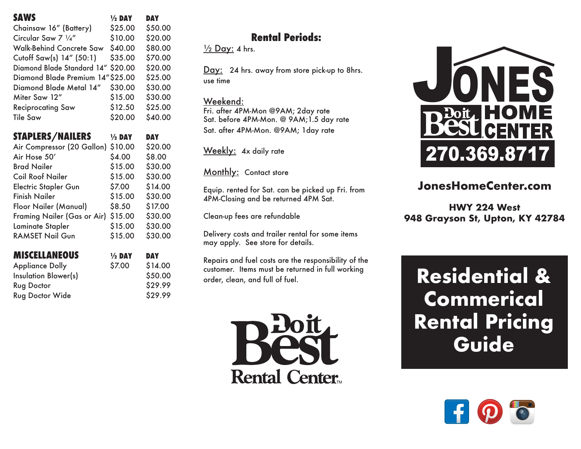| <b>SAWS</b>                      | $\frac{1}{2}$ DAY | <b>DAY</b> |
|----------------------------------|-------------------|------------|
| Chainsaw 16" (Battery)           | \$25.00           | \$50.00    |
| Circular Saw 7 1/4"              | \$10.00           | \$20.00    |
| <b>Walk-Behind Concrete Saw</b>  | \$40.00           | \$80.00    |
| Cutoff Saw(s) 14" (50:1)         | \$35.00           | \$70.00    |
| Diamond Blade Standard 14"       | \$20.00           | \$20.00    |
| Diamond Blade Premium 14"\$25.00 |                   | \$25.00    |
| Diamond Blade Metal 14"          | \$30.00           | \$30.00    |
| Miter Saw 12"                    | \$15.00           | \$30.00    |
| <b>Reciprocating Saw</b>         | \$12.50           | \$25.00    |
| <b>Tile Saw</b>                  | \$20.00           | \$40.00    |
|                                  |                   |            |
| STAPLERS/NAILERS                 | $\frac{1}{2}$ DAY | DAY        |
| Air Compressor (20 Gallon)       | \$10.00           | \$20.00    |
| Air Hose 50'                     | \$4.00            | \$8.00     |
| <b>Brad Nailer</b>               | \$15.00           | \$30.00    |
| <b>Coil Roof Nailer</b>          | \$15.00           | \$30.00    |
| <b>Electric Stapler Gun</b>      | \$7.00            | \$14.00    |
| <b>Finish Nailer</b>             | \$15.00           | \$30.00    |
| Floor Nailer (Manual)            | \$8.50            | \$17.00    |
| Framing Nailer (Gas or Air)      | \$15.00           | \$30.00    |
| Laminate Stapler                 | \$15.00           | \$30.00    |
| <b>RAMSET Nail Gun</b>           | \$15.00           | \$30.00    |
| <b>MISCELLANEOUS</b>             | $\frac{1}{2}$ DAY | <b>DAY</b> |
| <b>Appliance Dolly</b>           | \$7.00            | \$14.00    |
| <b>Insulation Blower(s)</b>      |                   | \$50.00    |
| <b>Rug Doctor</b>                |                   | \$29.99    |
| Rug Doctor Wide                  |                   | \$29.99    |

## **Rental Periods:**

 $\frac{1}{2}$  Day: 4 hrs.

Day: 24 hrs. away from store pick-up to 8hrs. use time

## Weekend:

Fri. after 4PM-Mon @9AM; 2day rate Sat. before 4PM-Mon. @ 9AM;1.5 day rate Sat. after 4PM-Mon. @9AM; 1day rate

Weekly: 4x daily rate

Monthly: Contact store

Equip. rented for Sat. can be picked up Fri. from 4PM-Closing and be returned 4PM Sat.

Clean-up fees are refundable

Delivery costs and trailer rental for some items may apply. See store for details.

Repairs and fuel costs are the responsibility of the customer. Items must be returned in full working order, clean, and full of fuel.





## **JonesHomeCenter.com**

**HWY 224 West 948 Grayson St, Upton, KY 42784**

## **Residential & Commerical Rental Pricing Guide**